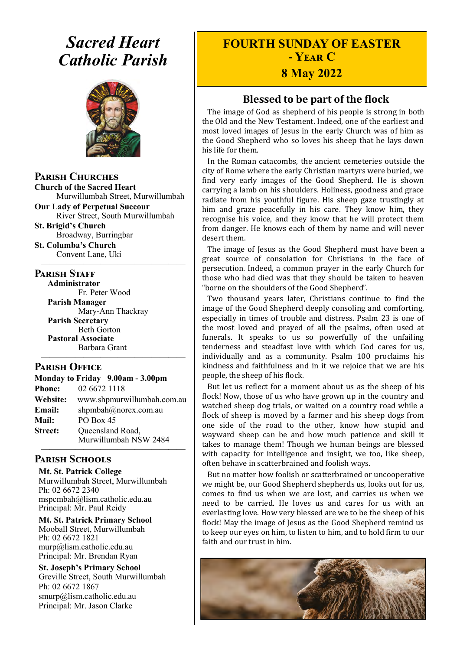# *Sacred Heart Catholic Parish*



**Parish Churches**

**Church of the Sacred Heart** Murwillumbah Street, Murwillumbah

**Our Lady of Perpetual Succour** River Street, South Murwillumbah

**St. Brigid's Church** Broadway, Burringbar

**St. Columba's Church** Convent Lane, Uki —————————————————

#### **PARISH STAFF**

**Administrator** Fr. Peter Wood **Parish Manager** Mary-Ann Thackray **Parish Secretary** Beth Gorton **Pastoral Associate**

Barbara Grant —————————————————

#### **Parish Office**

|                | Monday to Friday 9.00am - 3.00pm          |
|----------------|-------------------------------------------|
| <b>Phone:</b>  | 02 6672 1118                              |
| Website:       | www.shpmurwillumbah.com.au                |
| Email:         | shpmbah@norex.com.au                      |
| <b>Mail:</b>   | PO Box 45                                 |
| <b>Street:</b> | Queensland Road,<br>Murwillumbah NSW 2484 |
|                |                                           |

#### **Parish Schools**

**Mt. St. Patrick College** Murwillumbah Street, Murwillumbah Ph: 02 6672 2340 mspcmbah@lism.catholic.edu.au Principal: Mr. Paul Reidy

**Mt. St. Patrick Primary School** Mooball Street, Murwillumbah Ph: 02 6672 1821 murp@lism.catholic.edu.au Principal: Mr. Brendan Ryan

**St. Joseph's Primary School** Greville Street, South Murwillumbah Ph: 02 6672 1867 smurp@lism.catholic.edu.au Principal: Mr. Jason Clarke

# **FOURTH SUNDAY OF EASTER - Year C**

# **8 May 2022**

# **Blessed to be part of the flock**

The image of God as shepherd of his people is strong in both the Old and the New Testament. Indeed, one of the earliest and most loved images of Jesus in the early Church was of him as the Good Shepherd who so loves his sheep that he lays down his life for them.

In the Roman catacombs, the ancient cemeteries outside the city of Rome where the early Christian martyrs were buried, we find very early images of the Good Shepherd. He is shown carrying a lamb on his shoulders. Holiness, goodness and grace radiate from his youthful figure. His sheep gaze trustingly at him and graze peacefully in his care. They know him, they recognise his voice, and they know that he will protect them from danger. He knows each of them by name and will never desert them.

The image of Jesus as the Good Shepherd must have been a great source of consolation for Christians in the face of persecution. Indeed, a common prayer in the early Church for those who had died was that they should be taken to heaven "borne on the shoulders of the Good Shepherd".

Two thousand years later, Christians continue to find the image of the Good Shepherd deeply consoling and comforting, especially in times of trouble and distress. Psalm 23 is one of the most loved and prayed of all the psalms, often used at funerals. It speaks to us so powerfully of the unfailing tenderness and steadfast love with which God cares for us, individually and as a community. Psalm 100 proclaims his kindness and faithfulness and in it we rejoice that we are his people, the sheep of his flock.

But let us reflect for a moment about us as the sheep of his flock! Now, those of us who have grown up in the country and watched sheep dog trials, or waited on a country road while a flock of sheep is moved by a farmer and his sheep dogs from one side of the road to the other, know how stupid and wayward sheep can be and how much patience and skill it takes to manage them! Though we human beings are blessed with capacity for intelligence and insight, we too, like sheep, often behave in scatterbrained and foolish ways.

But no matter how foolish or scatterbrained or uncooperative we might be, our Good Shepherd shepherds us, looks out for us, comes to find us when we are lost, and carries us when we need to be carried. He loves us and cares for us with an everlasting love. How very blessed are we to be the sheep of his flock! May the image of Jesus as the Good Shepherd remind us to keep our eyes on him, to listen to him, and to hold firm to our faith and our trust in him.

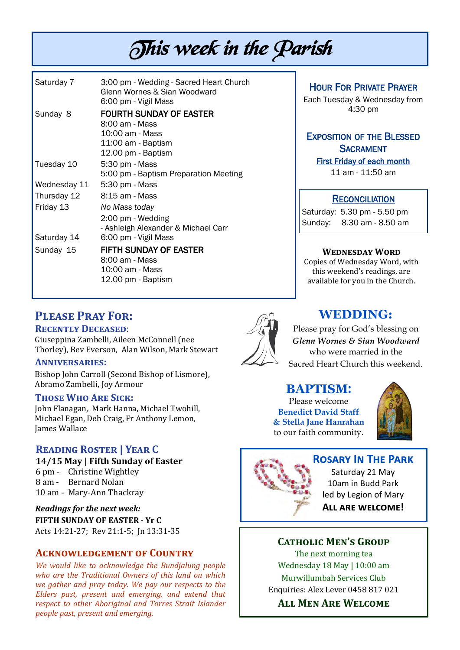# This week in the Parish

| Saturday 7   | 3:00 pm - Wedding - Sacred Heart Church<br>Glenn Wornes & Sian Woodward<br>6:00 pm - Vigil Mass                   |
|--------------|-------------------------------------------------------------------------------------------------------------------|
| Sunday 8     | <b>FOURTH SUNDAY OF EASTER</b><br>8:00 am - Mass<br>$10:00$ am - Mass<br>11:00 am - Baptism<br>12.00 pm - Baptism |
| Tuesday 10   | 5:30 pm - Mass<br>5:00 pm - Baptism Preparation Meeting                                                           |
| Wednesday 11 | 5:30 pm - Mass                                                                                                    |
| Thursday 12  | 8:15 am - Mass                                                                                                    |
| Friday 13    | No Mass today                                                                                                     |
|              | 2:00 pm - Wedding<br>- Ashleigh Alexander & Michael Carr                                                          |
| Saturday 14  | 6:00 pm - Vigil Mass                                                                                              |
| Sunday 15    | FIFTH SUNDAY OF EASTER<br>8:00 am - Mass<br>10:00 am - Mass<br>12.00 pm - Baptism                                 |

HOUR FOR PRIVATE PRAYER

Each Tuesday & Wednesday from 4:30 pm

## EXPOSITION OF THE BLESSED **SACRAMENT**

First Friday of each month 11 am - 11:50 am

#### **RECONCILIATION**

Saturday: 5.30 pm - 5.50 pm Sunday: 8.30 am - 8.50 am

## **Wednesday Word**

Copies of Wednesday Word, with this weekend's readings, are available for you in the Church.

## **Please Pray For:**

#### **Recently Deceased**:

Giuseppina Zambelli, Aileen McConnell (nee Thorley), Bev Everson, Alan Wilson, Mark Stewart

#### **Anniversaries:**

Bishop John Carroll (Second Bishop of Lismore), Abramo Zambelli, Joy Armour

#### **Those Who Are Sick:**

John Flanagan, Mark Hanna, Michael Twohill, Michael Egan, Deb Craig, Fr Anthony Lemon, James Wallace

#### **Reading Roster | Year C**

**14/15 May | Fifth Sunday of Easter**  6 pm - Christine Wightley 8 am - Bernard Nolan 10 am - Mary-Ann Thackray

*Readings for the next week:*  **FIFTH SUNDAY OF EASTER - Yr C** Acts 14:21-27; Rev 21:1-5; Jn 13:31-35

#### **Acknowledgement of Country**

*We would like to acknowledge the Bundjalung people who are the Traditional Owners of this land on which we gather and pray today. We pay our respects to the Elders past, present and emerging, and extend that respect to other Aboriginal and Torres Strait Islander people past, present and emerging.* 



# **WEDDING:**

Please pray for God's blessing on *Glenn Wornes & Sian Woodward* who were married in the Sacred Heart Church this weekend.

#### **BAPTISM**:

Please welcome **Benedict David Staff & Stella Jane Hanrahan** to our faith community.



#### **Rosary In The Park**

Saturday 21 May 10am in Budd Park led by Legion of Mary **All are welcome!** 

#### **Catholic Men's Group**

The next morning tea Wednesday 18 May | 10:00 am Murwillumbah Services Club Enquiries: Alex Lever 0458 817 021

**All Men Are Welcome**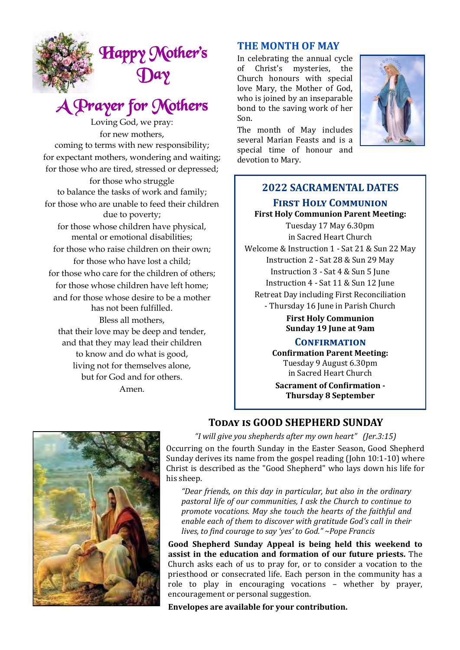

# A Prayer for Mothers

Loving God, we pray: for new mothers, coming to terms with new responsibility; for expectant mothers, wondering and waiting; for those who are tired, stressed or depressed;

for those who struggle to balance the tasks of work and family; for those who are unable to feed their children due to poverty; for those whose children have physical, mental or emotional disabilities; for those who raise children on their own; for those who have lost a child; for those who care for the children of others; for those whose children have left home; and for those whose desire to be a mother has not been fulfilled. Bless all mothers, that their love may be deep and tender, and that they may lead their children to know and do what is good, living not for themselves alone, but for God and for others. Amen.

### **THE MONTH OF MAY**

In celebrating the annual cycle of Christ's mysteries, the Church honours with special love Mary, the Mother of God, who is joined by an inseparable bond to the saving work of her Son.

The month of May includes several Marian Feasts and is a special time of honour and devotion to Mary.



# **2022 SACRAMENTAL DATES First Holy Communion**

**First Holy Communion Parent Meeting:** Tuesday 17 May 6.30pm in Sacred Heart Church Welcome & Instruction 1 - Sat 21 & Sun 22 May Instruction 2 - Sat 28 & Sun 29 May Instruction 3 - Sat 4 & Sun 5 June Instruction 4 - Sat 11 & Sun 12 June Retreat Day including First Reconciliation - Thursday 16 June in Parish Church

> **First Holy Communion Sunday 19 June at 9am**

#### **Confirmation**

**Confirmation Parent Meeting:** Tuesday 9 August 6.30pm in Sacred Heart Church

**Sacrament of Confirmation - Thursday 8 September**



#### **Today is GOOD SHEPHERD SUNDAY**

*"I will give you shepherds after my own heart" (Jer.3:15)* Occurring on the fourth Sunday in the Easter Season, Good Shepherd Sunday derives its name from the gospel reading (John 10:1-10) where Christ is described as the "Good Shepherd" who lays down his life for his sheep.

*"Dear friends, on this day in particular, but also in the ordinary pastoral life of our communities, I ask the Church to continue to promote vocations. May she touch the hearts of the faithful and enable each of them to discover with gratitude God's call in their lives, to find courage to say 'yes' to God." ~Pope Francis*

**Good Shepherd Sunday Appeal is being held this weekend to assist in the education and formation of our future priests.** The Church asks each of us to pray for, or to consider a vocation to the priesthood or consecrated life. Each person in the community has a role to play in encouraging vocations – whether by prayer, encouragement or personal suggestion.

**Envelopes are available for your contribution.**